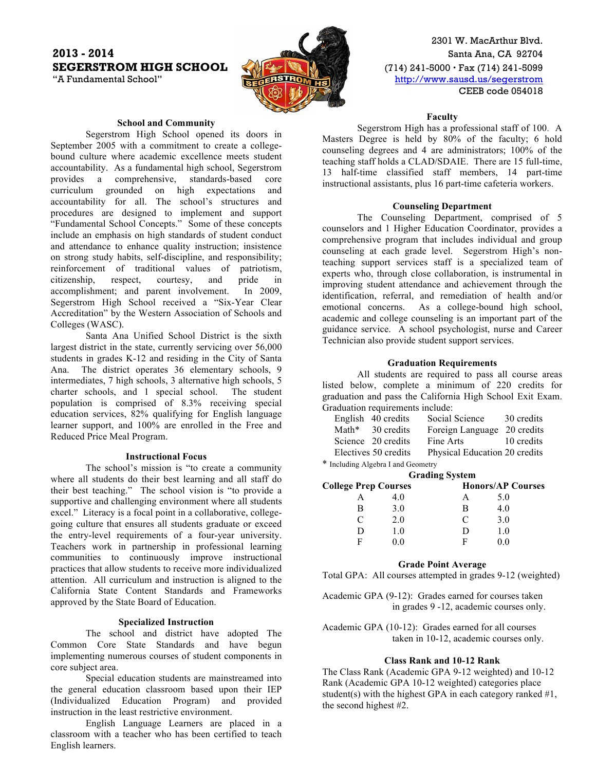# **2013 - 2014** Santa Ana, CA 92704 **SEGERSTROM HIGH SCHOOL** (10) 241-5000 · Fax (714) 241-5099



2301 W. MacArthur Blvd. "A Fundamental School" **http://www.sausd.us/segerstrom** CEEB code 054018

## **School and Community**

Segerstrom High School opened its doors in September 2005 with a commitment to create a collegebound culture where academic excellence meets student accountability. As a fundamental high school, Segerstrom provides a comprehensive, standards-based core curriculum grounded on high expectations and accountability for all. The school's structures and procedures are designed to implement and support "Fundamental School Concepts." Some of these concepts include an emphasis on high standards of student conduct and attendance to enhance quality instruction; insistence on strong study habits, self-discipline, and responsibility; reinforcement of traditional values of patriotism, citizenship, respect, courtesy, and pride in accomplishment; and parent involvement. In 2009, Segerstrom High School received a "Six-Year Clear Accreditation" by the Western Association of Schools and Colleges (WASC).

Santa Ana Unified School District is the sixth largest district in the state, currently servicing over 56,000 students in grades K-12 and residing in the City of Santa Ana. The district operates 36 elementary schools, 9 intermediates, 7 high schools, 3 alternative high schools, 5 charter schools, and 1 special school. The student population is comprised of 8.3% receiving special education services, 82% qualifying for English language learner support, and 100% are enrolled in the Free and Reduced Price Meal Program.

## **Instructional Focus**

The school's mission is "to create a community where all students do their best learning and all staff do their best teaching." The school vision is "to provide a supportive and challenging environment where all students excel." Literacy is a focal point in a collaborative, collegegoing culture that ensures all students graduate or exceed the entry-level requirements of a four-year university. Teachers work in partnership in professional learning communities to continuously improve instructional practices that allow students to receive more individualized attention. All curriculum and instruction is aligned to the California State Content Standards and Frameworks approved by the State Board of Education.

### **Specialized Instruction**

The school and district have adopted The Common Core State Standards and have begun implementing numerous courses of student components in core subject area.

Special education students are mainstreamed into the general education classroom based upon their IEP (Individualized Education Program) and provided instruction in the least restrictive environment.

English Language Learners are placed in a classroom with a teacher who has been certified to teach English learners.

#### **Faculty**

Segerstrom High has a professional staff of 100. A Masters Degree is held by 80% of the faculty; 6 hold counseling degrees and 4 are administrators; 100% of the teaching staff holds a CLAD/SDAIE. There are 15 full-time, 13 half-time classified staff members, 14 part-time instructional assistants, plus 16 part-time cafeteria workers.

## **Counseling Department**

The Counseling Department, comprised of 5 counselors and 1 Higher Education Coordinator, provides a comprehensive program that includes individual and group counseling at each grade level. Segerstrom High's nonteaching support services staff is a specialized team of experts who, through close collaboration, is instrumental in improving student attendance and achievement through the identification, referral, and remediation of health and/or emotional concerns. As a college-bound high school, academic and college counseling is an important part of the guidance service. A school psychologist, nurse and Career Technician also provide student support services.

### **Graduation Requirements**

All students are required to pass all course areas listed below, complete a minimum of 220 credits for graduation and pass the California High School Exit Exam. Graduation requirements include:

|  | English 40 credits   | Social Science                | 30 credits |
|--|----------------------|-------------------------------|------------|
|  | Math* 30 credits     | Foreign Language              | 20 credits |
|  | Science 20 credits   | Fine Arts                     | 10 credits |
|  | Electives 50 credits | Physical Education 20 credits |            |
|  |                      |                               |            |

\* Including Algebra I and Geometry **Grading System**

| <b>College Prep Courses</b> |     |   | <b>Honors/AP Courses</b> |  |
|-----------------------------|-----|---|--------------------------|--|
|                             | 40  |   | 5.0                      |  |
| R                           | 3.0 | в | 4.0                      |  |
|                             | 2.0 | € | 3.0                      |  |
|                             | 1.0 |   | 10                       |  |
| ы                           |     | н |                          |  |

#### **Grade Point Average**

Total GPA: All courses attempted in grades 9-12 (weighted)

Academic GPA (9-12): Grades earned for courses taken in grades 9 -12, academic courses only.

Academic GPA (10-12): Grades earned for all courses taken in 10-12, academic courses only.

## **Class Rank and 10-12 Rank**

The Class Rank (Academic GPA 9-12 weighted) and 10-12 Rank (Academic GPA 10-12 weighted) categories place student(s) with the highest GPA in each category ranked  $#1$ , the second highest #2.